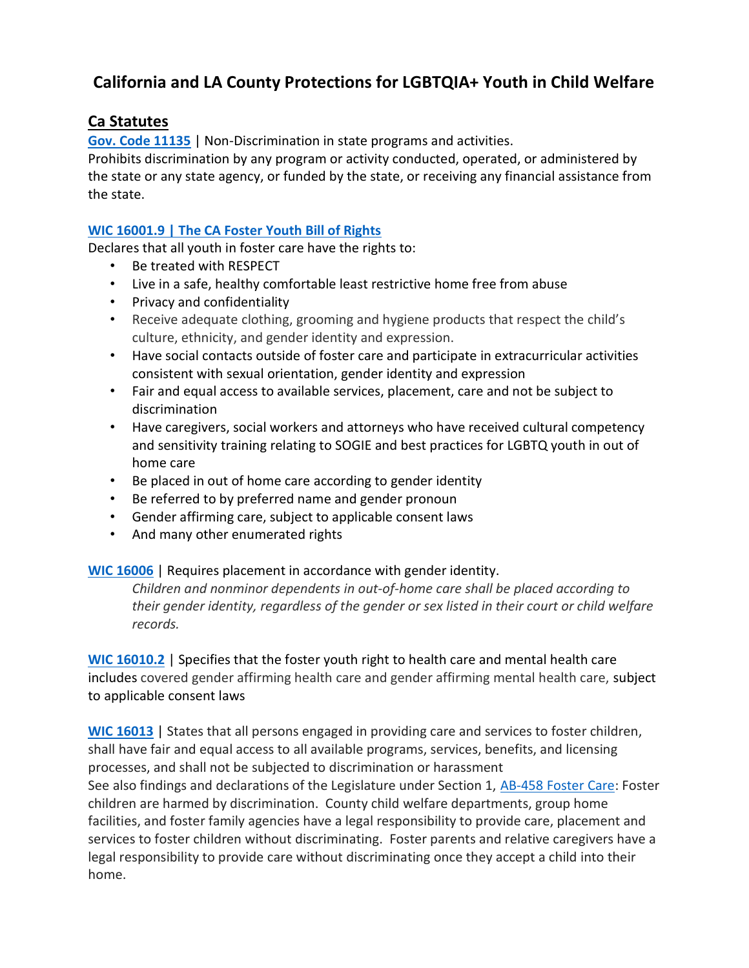# California and LA County Protections for LGBTQIA+ Youth in Child Welfare

### Ca Statutes

Gov. Code 11135 | Non-Discrimination in state programs and activities.

Prohibits discrimination by any program or activity conducted, operated, or administered by the state or any state agency, or funded by the state, or receiving any financial assistance from the state.

#### WIC 16001.9 | The CA Foster Youth Bill of Rights

Declares that all youth in foster care have the rights to:

- Be treated with RESPECT
- Live in a safe, healthy comfortable least restrictive home free from abuse
- Privacy and confidentiality
- Receive adequate clothing, grooming and hygiene products that respect the child's culture, ethnicity, and gender identity and expression.
- Have social contacts outside of foster care and participate in extracurricular activities consistent with sexual orientation, gender identity and expression
- Fair and equal access to available services, placement, care and not be subject to discrimination
- Have caregivers, social workers and attorneys who have received cultural competency and sensitivity training relating to SOGIE and best practices for LGBTQ youth in out of home care
- Be placed in out of home care according to gender identity
- Be referred to by preferred name and gender pronoun
- Gender affirming care, subject to applicable consent laws
- And many other enumerated rights

#### WIC 16006 | Requires placement in accordance with gender identity.

Children and nonminor dependents in out-of-home care shall be placed according to their gender identity, regardless of the gender or sex listed in their court or child welfare records.

WIC 16010.2 | Specifies that the foster youth right to health care and mental health care includes covered gender affirming health care and gender affirming mental health care, subject to applicable consent laws

WIC 16013 | States that all persons engaged in providing care and services to foster children, shall have fair and equal access to all available programs, services, benefits, and licensing processes, and shall not be subjected to discrimination or harassment See also findings and declarations of the Legislature under Section 1, AB-458 Foster Care: Foster children are harmed by discrimination. County child welfare departments, group home facilities, and foster family agencies have a legal responsibility to provide care, placement and services to foster children without discriminating. Foster parents and relative caregivers have a legal responsibility to provide care without discriminating once they accept a child into their home.